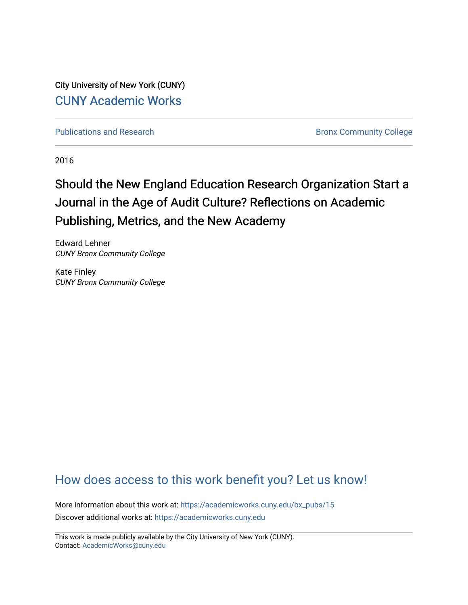City University of New York (CUNY) [CUNY Academic Works](https://academicworks.cuny.edu/) 

[Publications and Research](https://academicworks.cuny.edu/bx_pubs) **Bronx Community College** 

2016

# Should the New England Education Research Organization Start a Journal in the Age of Audit Culture? Reflections on Academic Publishing, Metrics, and the New Academy

Edward Lehner CUNY Bronx Community College

Kate Finley CUNY Bronx Community College

# [How does access to this work benefit you? Let us know!](http://ols.cuny.edu/academicworks/?ref=https://academicworks.cuny.edu/bx_pubs/15)

More information about this work at: [https://academicworks.cuny.edu/bx\\_pubs/15](https://academicworks.cuny.edu/bx_pubs/15) Discover additional works at: [https://academicworks.cuny.edu](https://academicworks.cuny.edu/?)

This work is made publicly available by the City University of New York (CUNY). Contact: [AcademicWorks@cuny.edu](mailto:AcademicWorks@cuny.edu)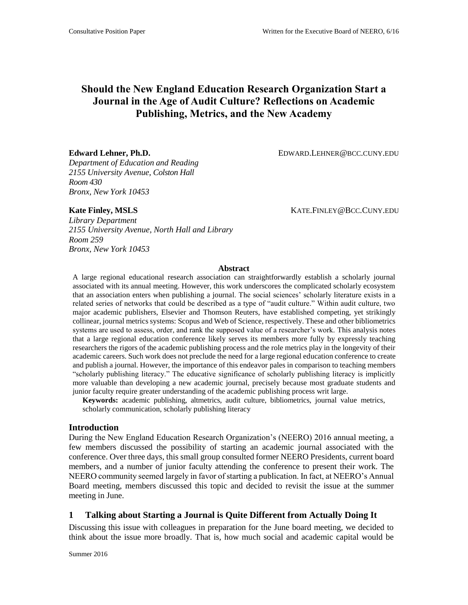## **Should the New England Education Research Organization Start a Journal in the Age of Audit Culture? Reflections on Academic Publishing, Metrics, and the New Academy**

Edward Lehner, Ph.D. **EDWARD.LEHNER@BCC.CUNY.EDU** 

*Department of Education and Reading 2155 University Avenue, Colston Hall Room 430 Bronx, New York 10453*

*Library Department 2155 University Avenue, North Hall and Library Room 259 Bronx, New York 10453*

**Kate Finley, MSLS** KATE.FINLEY@BCC.CUNY.EDU

#### **Abstract**

A large regional educational research association can straightforwardly establish a scholarly journal associated with its annual meeting. However, this work underscores the complicated scholarly ecosystem that an association enters when publishing a journal. The social sciences' scholarly literature exists in a related series of networks that could be described as a type of "audit culture." Within audit culture, two major academic publishers, Elsevier and Thomson Reuters, have established competing, yet strikingly collinear, journal metrics systems: Scopus and Web of Science, respectively. These and other bibliometrics systems are used to assess, order, and rank the supposed value of a researcher's work. This analysis notes that a large regional education conference likely serves its members more fully by expressly teaching researchers the rigors of the academic publishing process and the role metrics play in the longevity of their academic careers. Such work does not preclude the need for a large regional education conference to create and publish a journal. However, the importance of this endeavor pales in comparison to teaching members "scholarly publishing literacy." The educative significance of scholarly publishing literacy is implicitly more valuable than developing a new academic journal, precisely because most graduate students and junior faculty require greater understanding of the academic publishing process writ large.

**Keywords:** academic publishing, altmetrics, audit culture, bibliometrics, journal value metrics, scholarly communication, scholarly publishing literacy

#### **Introduction**

During the New England Education Research Organization's (NEERO) 2016 annual meeting, a few members discussed the possibility of starting an academic journal associated with the conference. Over three days, this small group consulted former NEERO Presidents, current board members, and a number of junior faculty attending the conference to present their work. The NEERO community seemed largely in favor of starting a publication. In fact, at NEERO's Annual Board meeting, members discussed this topic and decided to revisit the issue at the summer meeting in June.

### **1 Talking about Starting a Journal is Quite Different from Actually Doing It**

Discussing this issue with colleagues in preparation for the June board meeting, we decided to think about the issue more broadly. That is, how much social and academic capital would be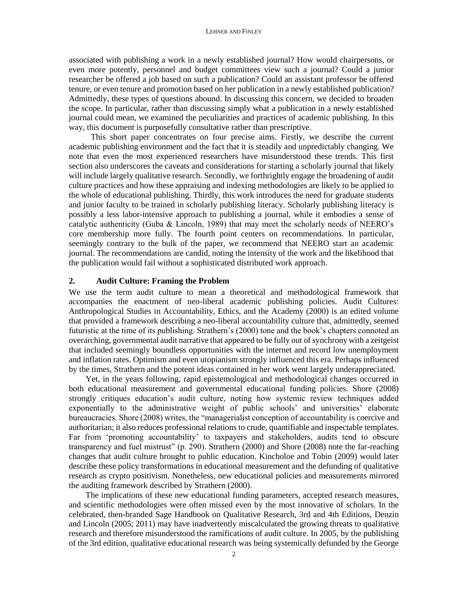associated with publishing a work in a newly established journal? How would chairpersons, or even more potently, personnel and budget committees view such a journal? Could a junior researcher be offered a job based on such a publication? Could an assistant professor be offered tenure, or even tenure and promotion based on her publication in a newly established publication? Admittedly, these types of questions abound. In discussing this concern, we decided to broaden the scope. In particular, rather than discussing simply what a publication in a newly established journal could mean, we examined the peculiarities and practices of academic publishing. In this way, this document is purposefully consultative rather than prescriptive.

This short paper concentrates on four precise aims. Firstly, we describe the current academic publishing environment and the fact that it is steadily and unpredictably changing. We note that even the most experienced researchers have misunderstood these trends. This first section also underscores the caveats and considerations for starting a scholarly journal that likely will include largely qualitative research. Secondly, we forthrightly engage the broadening of audit culture practices and how these appraising and indexing methodologies are likely to be applied to the whole of educational publishing. Thirdly, this work introduces the need for graduate students and junior faculty to be trained in scholarly publishing literacy. Scholarly publishing literacy is possibly a less labor-intensive approach to publishing a journal, while it embodies a sense of catalytic authenticity (Guba & Lincoln, 1989) that may meet the scholarly needs of NEERO's core membership more fully. The fourth point centers on recommendations. In particular, seemingly contrary to the bulk of the paper, we recommend that NEERO start an academic journal. The recommendations are candid, noting the intensity of the work and the likelihood that the publication would fail without a sophisticated distributed work approach.

#### **2. Audit Culture: Framing the Problem**

We use the term audit culture to mean a theoretical and methodological framework that accompanies the enactment of neo-liberal academic publishing policies. Audit Cultures: Anthropological Studies in Accountability, Ethics, and the Academy (2000) is an edited volume that provided a framework describing a neo-liberal accountability culture that, admittedly, seemed futuristic at the time of its publishing. Strathern's (2000) tone and the book's chapters connoted an overarching, governmental audit narrative that appeared to be fully out of synchrony with a zeitgeist that included seemingly boundless opportunities with the internet and record low unemployment and inflation rates. Optimism and even utopianism strongly influenced this era. Perhaps influenced by the times, Strathern and the potent ideas contained in her work went largely underappreciated.

 Yet, in the years following, rapid epistemological and methodological changes occurred in both educational measurement and governmental educational funding policies. Shore (2008) strongly critiques education's audit culture, noting how systemic review techniques added exponentially to the administrative weight of public schools' and universities' elaborate bureaucracies. Shore (2008) writes, the "managerialist conception of accountability is coercive and authoritarian; it also reduces professional relations to crude, quantifiable and inspectable templates. Far from 'promoting accountability' to taxpayers and stakeholders, audits tend to obscure transparency and fuel mistrust" (p. 290). Strathern (2000) and Shore (2008) note the far-reaching changes that audit culture brought to public education. Kincholoe and Tobin (2009) would later describe these policy transformations in educational measurement and the defunding of qualitative research as crypto positivism. Nonetheless, new educational policies and measurements mirrored the auditing framework described by Strathern (2000).

 The implications of these new educational funding parameters, accepted research measures, and scientific methodologies were often missed even by the most innovative of scholars. In the celebrated, then-branded Sage Handbook on Qualitative Research, 3rd and 4th Editions, Denzin and Lincoln (2005; 2011) may have inadvertently miscalculated the growing threats to qualitative research and therefore misunderstood the ramifications of audit culture. In 2005, by the publishing of the 3rd edition, qualitative educational research was being systemically defunded by the George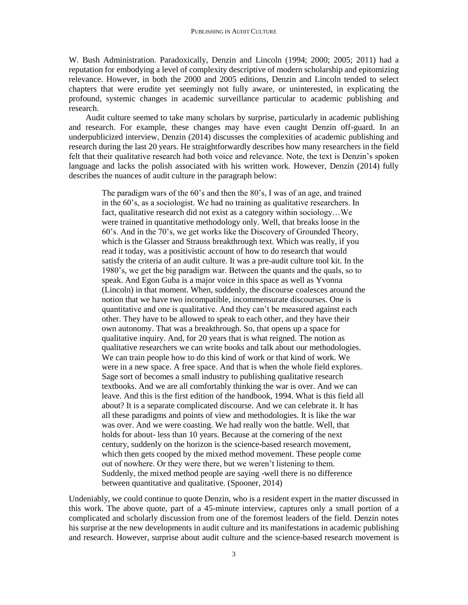W. Bush Administration. Paradoxically, Denzin and Lincoln (1994; 2000; 2005; 2011) had a reputation for embodying a level of complexity descriptive of modern scholarship and epitomizing relevance. However, in both the 2000 and 2005 editions, Denzin and Lincoln tended to select chapters that were erudite yet seemingly not fully aware, or uninterested, in explicating the profound, systemic changes in academic surveillance particular to academic publishing and research.

 Audit culture seemed to take many scholars by surprise, particularly in academic publishing and research. For example, these changes may have even caught Denzin off-guard. In an underpublicized interview, Denzin (2014) discusses the complexities of academic publishing and research during the last 20 years. He straightforwardly describes how many researchers in the field felt that their qualitative research had both voice and relevance. Note, the text is Denzin's spoken language and lacks the polish associated with his written work. However, Denzin (2014) fully describes the nuances of audit culture in the paragraph below:

The paradigm wars of the 60's and then the 80's, I was of an age, and trained in the 60's, as a sociologist. We had no training as qualitative researchers. In fact, qualitative research did not exist as a category within sociology…We were trained in quantitative methodology only. Well, that breaks loose in the 60's. And in the 70's, we get works like the Discovery of Grounded Theory, which is the Glasser and Strauss breakthrough text. Which was really, if you read it today, was a positivistic account of how to do research that would satisfy the criteria of an audit culture. It was a pre-audit culture tool kit. In the 1980's, we get the big paradigm war. Between the quants and the quals, so to speak. And Egon Guba is a major voice in this space as well as Yvonna (Lincoln) in that moment. When, suddenly, the discourse coalesces around the notion that we have two incompatible, incommensurate discourses. One is quantitative and one is qualitative. And they can't be measured against each other. They have to be allowed to speak to each other, and they have their own autonomy. That was a breakthrough. So, that opens up a space for qualitative inquiry. And, for 20 years that is what reigned. The notion as qualitative researchers we can write books and talk about our methodologies. We can train people how to do this kind of work or that kind of work. We were in a new space. A free space. And that is when the whole field explores. Sage sort of becomes a small industry to publishing qualitative research textbooks. And we are all comfortably thinking the war is over. And we can leave. And this is the first edition of the handbook, 1994. What is this field all about? It is a separate complicated discourse. And we can celebrate it. It has all these paradigms and points of view and methodologies. It is like the war was over. And we were coasting. We had really won the battle. Well, that holds for about- less than 10 years. Because at the cornering of the next century, suddenly on the horizon is the science-based research movement, which then gets cooped by the mixed method movement. These people come out of nowhere. Or they were there, but we weren't listening to them. Suddenly, the mixed method people are saying -well there is no difference between quantitative and qualitative. (Spooner, 2014)

Undeniably, we could continue to quote Denzin, who is a resident expert in the matter discussed in this work. The above quote, part of a 45-minute interview, captures only a small portion of a complicated and scholarly discussion from one of the foremost leaders of the field. Denzin notes his surprise at the new developments in audit culture and its manifestations in academic publishing and research. However, surprise about audit culture and the science-based research movement is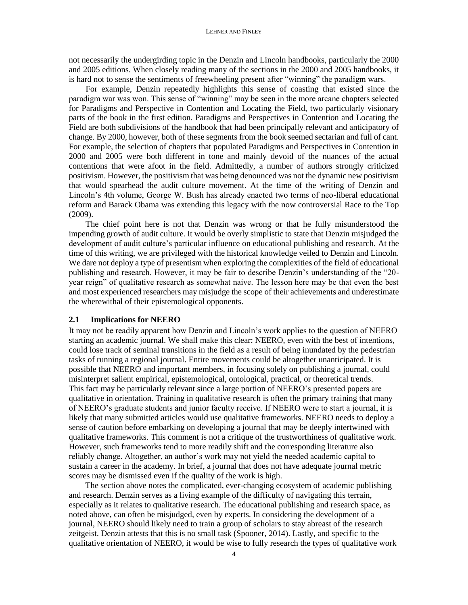not necessarily the undergirding topic in the Denzin and Lincoln handbooks, particularly the 2000 and 2005 editions. When closely reading many of the sections in the 2000 and 2005 handbooks, it is hard not to sense the sentiments of freewheeling present after "winning" the paradigm wars.

 For example, Denzin repeatedly highlights this sense of coasting that existed since the paradigm war was won. This sense of "winning" may be seen in the more arcane chapters selected for Paradigms and Perspective in Contention and Locating the Field, two particularly visionary parts of the book in the first edition. Paradigms and Perspectives in Contention and Locating the Field are both subdivisions of the handbook that had been principally relevant and anticipatory of change. By 2000, however, both of these segments from the book seemed sectarian and full of cant. For example, the selection of chapters that populated Paradigms and Perspectives in Contention in 2000 and 2005 were both different in tone and mainly devoid of the nuances of the actual contentions that were afoot in the field. Admittedly, a number of authors strongly criticized positivism. However, the positivism that was being denounced was not the dynamic new positivism that would spearhead the audit culture movement. At the time of the writing of Denzin and Lincoln's 4th volume, George W. Bush has already enacted two terms of neo-liberal educational reform and Barack Obama was extending this legacy with the now controversial Race to the Top (2009).

 The chief point here is not that Denzin was wrong or that he fully misunderstood the impending growth of audit culture. It would be overly simplistic to state that Denzin misjudged the development of audit culture's particular influence on educational publishing and research. At the time of this writing, we are privileged with the historical knowledge veiled to Denzin and Lincoln. We dare not deploy a type of presentism when exploring the complexities of the field of educational publishing and research. However, it may be fair to describe Denzin's understanding of the "20 year reign" of qualitative research as somewhat naive. The lesson here may be that even the best and most experienced researchers may misjudge the scope of their achievements and underestimate the wherewithal of their epistemological opponents.

#### **2.1 Implications for NEERO**

It may not be readily apparent how Denzin and Lincoln's work applies to the question of NEERO starting an academic journal. We shall make this clear: NEERO, even with the best of intentions, could lose track of seminal transitions in the field as a result of being inundated by the pedestrian tasks of running a regional journal. Entire movements could be altogether unanticipated. It is possible that NEERO and important members, in focusing solely on publishing a journal, could misinterpret salient empirical, epistemological, ontological, practical, or theoretical trends. This fact may be particularly relevant since a large portion of NEERO's presented papers are qualitative in orientation. Training in qualitative research is often the primary training that many of NEERO's graduate students and junior faculty receive. If NEERO were to start a journal, it is likely that many submitted articles would use qualitative frameworks. NEERO needs to deploy a sense of caution before embarking on developing a journal that may be deeply intertwined with qualitative frameworks. This comment is not a critique of the trustworthiness of qualitative work. However, such frameworks tend to more readily shift and the corresponding literature also reliably change. Altogether, an author's work may not yield the needed academic capital to sustain a career in the academy. In brief, a journal that does not have adequate journal metric scores may be dismissed even if the quality of the work is high.

The section above notes the complicated, ever-changing ecosystem of academic publishing and research. Denzin serves as a living example of the difficulty of navigating this terrain, especially as it relates to qualitative research. The educational publishing and research space, as noted above, can often be misjudged, even by experts. In considering the development of a journal, NEERO should likely need to train a group of scholars to stay abreast of the research zeitgeist. Denzin attests that this is no small task (Spooner, 2014). Lastly, and specific to the qualitative orientation of NEERO, it would be wise to fully research the types of qualitative work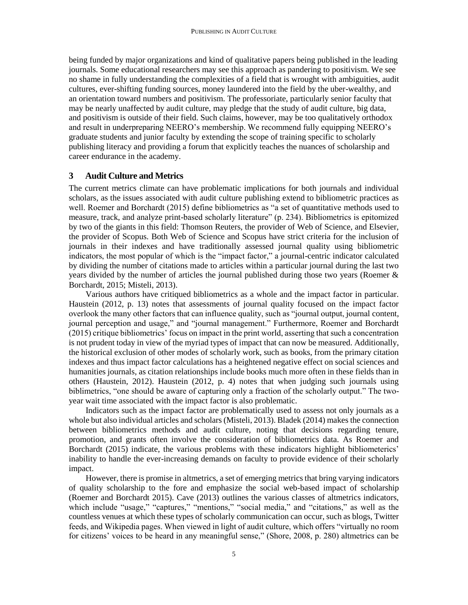being funded by major organizations and kind of qualitative papers being published in the leading journals. Some educational researchers may see this approach as pandering to positivism. We see no shame in fully understanding the complexities of a field that is wrought with ambiguities, audit cultures, ever-shifting funding sources, money laundered into the field by the uber-wealthy, and an orientation toward numbers and positivism. The professoriate, particularly senior faculty that may be nearly unaffected by audit culture, may pledge that the study of audit culture, big data, and positivism is outside of their field. Such claims, however, may be too qualitatively orthodox and result in underpreparing NEERO's membership. We recommend fully equipping NEERO's graduate students and junior faculty by extending the scope of training specific to scholarly publishing literacy and providing a forum that explicitly teaches the nuances of scholarship and career endurance in the academy.

#### **3 Audit Culture and Metrics**

The current metrics climate can have problematic implications for both journals and individual scholars, as the issues associated with audit culture publishing extend to bibliometric practices as well. Roemer and Borchardt (2015) define bibliometrics as "a set of quantitative methods used to measure, track, and analyze print-based scholarly literature" (p. 234). Bibliometrics is epitomized by two of the giants in this field: Thomson Reuters, the provider of Web of Science, and Elsevier, the provider of Scopus. Both Web of Science and Scopus have strict criteria for the inclusion of journals in their indexes and have traditionally assessed journal quality using bibliometric indicators, the most popular of which is the "impact factor," a journal-centric indicator calculated by dividing the number of citations made to articles within a particular journal during the last two years divided by the number of articles the journal published during those two years (Roemer & Borchardt, 2015; Misteli, 2013).

 Various authors have critiqued bibliometrics as a whole and the impact factor in particular. Haustein (2012, p. 13) notes that assessments of journal quality focused on the impact factor overlook the many other factors that can influence quality, such as "journal output, journal content, journal perception and usage," and "journal management." Furthermore, Roemer and Borchardt (2015) critique bibliometrics' focus on impact in the print world, asserting that such a concentration is not prudent today in view of the myriad types of impact that can now be measured. Additionally, the historical exclusion of other modes of scholarly work, such as books, from the primary citation indexes and thus impact factor calculations has a heightened negative effect on social sciences and humanities journals, as citation relationships include books much more often in these fields than in others (Haustein, 2012). Haustein (2012, p. 4) notes that when judging such journals using biblimetrics, "one should be aware of capturing only a fraction of the scholarly output." The twoyear wait time associated with the impact factor is also problematic.

 Indicators such as the impact factor are problematically used to assess not only journals as a whole but also individual articles and scholars (Misteli, 2013). Bladek (2014) makes the connection between bibliometrics methods and audit culture, noting that decisions regarding tenure, promotion, and grants often involve the consideration of bibliometrics data. As Roemer and Borchardt (2015) indicate, the various problems with these indicators highlight bibliometerics' inability to handle the ever-increasing demands on faculty to provide evidence of their scholarly impact.

 However, there is promise in altmetrics, a set of emerging metrics that bring varying indicators of quality scholarship to the fore and emphasize the social web-based impact of scholarship (Roemer and Borchardt 2015). Cave (2013) outlines the various classes of altmetrics indicators, which include "usage," "captures," "mentions," "social media," and "citations," as well as the countless venues at which these types of scholarly communication can occur, such as blogs, Twitter feeds, and Wikipedia pages. When viewed in light of audit culture, which offers "virtually no room for citizens' voices to be heard in any meaningful sense," (Shore, 2008, p. 280) altmetrics can be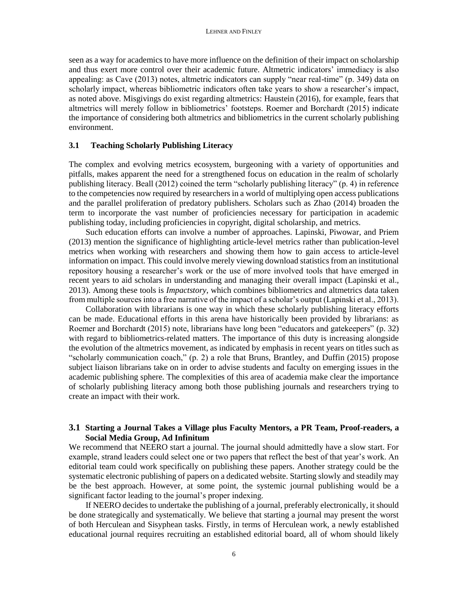seen as a way for academics to have more influence on the definition of their impact on scholarship and thus exert more control over their academic future. Altmetric indicators' immediacy is also appealing: as Cave (2013) notes, altmetric indicators can supply "near real-time" (p. 349) data on scholarly impact, whereas bibliometric indicators often take years to show a researcher's impact, as noted above. Misgivings do exist regarding altmetrics: Haustein (2016), for example, fears that altmetrics will merely follow in bibliometrics' footsteps. Roemer and Borchardt (2015) indicate the importance of considering both altmetrics and bibliometrics in the current scholarly publishing environment.

#### **3.1 Teaching Scholarly Publishing Literacy**

The complex and evolving metrics ecosystem, burgeoning with a variety of opportunities and pitfalls, makes apparent the need for a strengthened focus on education in the realm of scholarly publishing literacy. Beall (2012) coined the term "scholarly publishing literacy" (p. 4) in reference to the competencies now required by researchers in a world of multiplying open access publications and the parallel proliferation of predatory publishers. Scholars such as Zhao (2014) broaden the term to incorporate the vast number of proficiencies necessary for participation in academic publishing today, including proficiencies in copyright, digital scholarship, and metrics.

 Such education efforts can involve a number of approaches. Lapinski, Piwowar, and Priem (2013) mention the significance of highlighting article-level metrics rather than publication-level metrics when working with researchers and showing them how to gain access to article-level information on impact. This could involve merely viewing download statistics from an institutional repository housing a researcher's work or the use of more involved tools that have emerged in recent years to aid scholars in understanding and managing their overall impact (Lapinski et al., 2013). Among these tools is *Impactstory*, which combines bibliometrics and altmetrics data taken from multiple sources into a free narrative of the impact of a scholar's output (Lapinski et al., 2013).

 Collaboration with librarians is one way in which these scholarly publishing literacy efforts can be made. Educational efforts in this arena have historically been provided by librarians: as Roemer and Borchardt (2015) note, librarians have long been "educators and gatekeepers" (p. 32) with regard to bibliometrics-related matters. The importance of this duty is increasing alongside the evolution of the altmetrics movement, as indicated by emphasis in recent years on titles such as "scholarly communication coach," (p. 2) a role that Bruns, Brantley, and Duffin (2015) propose subject liaison librarians take on in order to advise students and faculty on emerging issues in the academic publishing sphere. The complexities of this area of academia make clear the importance of scholarly publishing literacy among both those publishing journals and researchers trying to create an impact with their work.

#### **3.1 Starting a Journal Takes a Village plus Faculty Mentors, a PR Team, Proof-readers, a Social Media Group, Ad Infinitum**

We recommend that NEERO start a journal. The journal should admittedly have a slow start. For example, strand leaders could select one or two papers that reflect the best of that year's work. An editorial team could work specifically on publishing these papers. Another strategy could be the systematic electronic publishing of papers on a dedicated website. Starting slowly and steadily may be the best approach. However, at some point, the systemic journal publishing would be a significant factor leading to the journal's proper indexing.

 If NEERO decides to undertake the publishing of a journal, preferably electronically, it should be done strategically and systematically. We believe that starting a journal may present the worst of both Herculean and Sisyphean tasks. Firstly, in terms of Herculean work, a newly established educational journal requires recruiting an established editorial board, all of whom should likely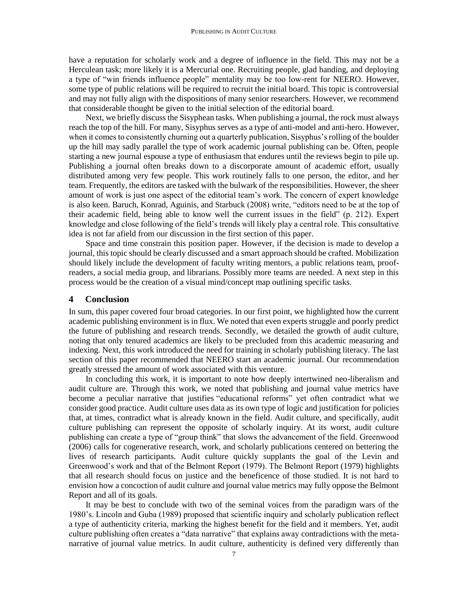have a reputation for scholarly work and a degree of influence in the field. This may not be a Herculean task; more likely it is a Mercurial one. Recruiting people, glad handing, and deploying a type of "win friends influence people" mentality may be too low-rent for NEERO. However, some type of public relations will be required to recruit the initial board. This topic is controversial and may not fully align with the dispositions of many senior researchers. However, we recommend that considerable thought be given to the initial selection of the editorial board.

 Next, we briefly discuss the Sisyphean tasks. When publishing a journal, the rock must always reach the top of the hill. For many, Sisyphus serves as a type of anti-model and anti-hero. However, when it comes to consistently churning out a quarterly publication, Sisyphus's rolling of the boulder up the hill may sadly parallel the type of work academic journal publishing can be. Often, people starting a new journal espouse a type of enthusiasm that endures until the reviews begin to pile up. Publishing a journal often breaks down to a discorporate amount of academic effort, usually distributed among very few people. This work routinely falls to one person, the editor, and her team. Frequently, the editors are tasked with the bulwark of the responsibilities. However, the sheer amount of work is just one aspect of the editorial team's work. The concern of expert knowledge is also keen. Baruch, Konrad, Aguinis, and Starbuck (2008) write, "editors need to be at the top of their academic field, being able to know well the current issues in the field" (p. 212). Expert knowledge and close following of the field's trends will likely play a central role. This consultative idea is not far afield from our discussion in the first section of this paper.

 Space and time constrain this position paper. However, if the decision is made to develop a journal, this topic should be clearly discussed and a smart approach should be crafted. Mobilization should likely include the development of faculty writing mentors, a public relations team, proofreaders, a social media group, and librarians. Possibly more teams are needed. A next step in this process would be the creation of a visual mind/concept map outlining specific tasks.

#### **4 Conclusion**

In sum, this paper covered four broad categories. In our first point, we highlighted how the current academic publishing environment is in flux. We noted that even experts struggle and poorly predict the future of publishing and research trends. Secondly, we detailed the growth of audit culture, noting that only tenured academics are likely to be precluded from this academic measuring and indexing. Next, this work introduced the need for training in scholarly publishing literacy. The last section of this paper recommended that NEERO start an academic journal. Our recommendation greatly stressed the amount of work associated with this venture.

 In concluding this work, it is important to note how deeply intertwined neo-liberalism and audit culture are. Through this work, we noted that publishing and journal value metrics have become a peculiar narrative that justifies "educational reforms" yet often contradict what we consider good practice. Audit culture uses data as its own type of logic and justification for policies that, at times, contradict what is already known in the field. Audit culture, and specifically, audit culture publishing can represent the opposite of scholarly inquiry. At its worst, audit culture publishing can create a type of "group think" that slows the advancement of the field. Greenwood (2006) calls for cogenerative research, work, and scholarly publications centered on bettering the lives of research participants. Audit culture quickly supplants the goal of the Levin and Greenwood's work and that of the Belmont Report (1979). The Belmont Report (1979) highlights that all research should focus on justice and the beneficence of those studied. It is not hard to envision how a concoction of audit culture and journal value metrics may fully oppose the Belmont Report and all of its goals.

 It may be best to conclude with two of the seminal voices from the paradigm wars of the 1980's. Lincoln and Guba (1989) proposed that scientific inquiry and scholarly publication reflect a type of authenticity criteria, marking the highest benefit for the field and it members. Yet, audit culture publishing often creates a "data narrative" that explains away contradictions with the metanarrative of journal value metrics. In audit culture, authenticity is defined very differently than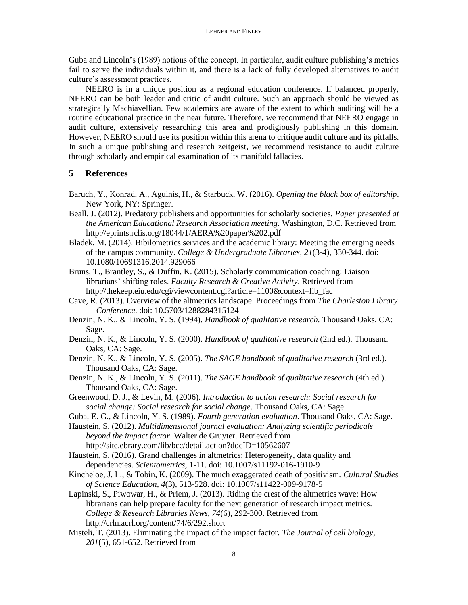Guba and Lincoln's (1989) notions of the concept. In particular, audit culture publishing's metrics fail to serve the individuals within it, and there is a lack of fully developed alternatives to audit culture's assessment practices.

 NEERO is in a unique position as a regional education conference. If balanced properly, NEERO can be both leader and critic of audit culture. Such an approach should be viewed as strategically Machiavellian. Few academics are aware of the extent to which auditing will be a routine educational practice in the near future. Therefore, we recommend that NEERO engage in audit culture, extensively researching this area and prodigiously publishing in this domain. However, NEERO should use its position within this arena to critique audit culture and its pitfalls. In such a unique publishing and research zeitgeist, we recommend resistance to audit culture through scholarly and empirical examination of its manifold fallacies.

### **5 References**

- Baruch, Y., Konrad, A., Aguinis, H., & Starbuck, W. (2016). *Opening the black box of editorship*. New York, NY: Springer.
- Beall, J. (2012). Predatory publishers and opportunities for scholarly societies. *Paper presented at the American Educational Research Association meeting.* Washington, D.C. Retrieved from http://eprints.rclis.org/18044/1/AERA%20paper%202.pdf
- Bladek, M. (2014). Bibilometrics services and the academic library: Meeting the emerging needs of the campus community. *College & Undergraduate Libraries, 21*(3-4), 330-344. doi: 10.1080/10691316.2014.929066
- Bruns, T., Brantley, S., & Duffin, K. (2015). Scholarly communication coaching: Liaison librarians' shifting roles. *Faculty Research & Creative Activity*. Retrieved from http://thekeep.eiu.edu/cgi/viewcontent.cgi?article=1100&context=lib\_fac
- Cave, R. (2013). Overview of the altmetrics landscape. Proceedings from *The Charleston Library Conference*. doi: 10.5703/1288284315124
- Denzin, N. K., & Lincoln, Y. S. (1994). *Handbook of qualitative research.* Thousand Oaks, CA: Sage.
- Denzin, N. K., & Lincoln, Y. S. (2000). *Handbook of qualitative research* (2nd ed.)*.* Thousand Oaks, CA: Sage.
- Denzin, N. K., & Lincoln, Y. S. (2005). *The SAGE handbook of qualitative research* (3rd ed.). Thousand Oaks, CA: Sage.
- Denzin, N. K., & Lincoln, Y. S. (2011). *The SAGE handbook of qualitative research* (4th ed.). Thousand Oaks, CA: Sage.
- Greenwood, D. J., & Levin, M. (2006). *Introduction to action research: Social research for social change: Social research for social change*. Thousand Oaks, CA: Sage.
- Guba, E. G., & Lincoln, Y. S. (1989). *Fourth generation evaluation*. Thousand Oaks, CA: Sage.
- Haustein, S. (2012). *Multidimensional journal evaluation: Analyzing scientific periodicals beyond the impact factor*. Walter de Gruyter. Retrieved from http://site.ebrary.com/lib/bcc/detail.action?docID=10562607
- Haustein, S. (2016). Grand challenges in altmetrics: Heterogeneity, data quality and dependencies. *Scientometrics,* 1-11. doi: 10.1007/s11192-016-1910-9
- Kincheloe, J. L., & Tobin, K. (2009). The much exaggerated death of positivism. *Cultural Studies of Science Education, 4*(3), 513-528. doi: 10.1007/s11422-009-9178-5
- Lapinski, S., Piwowar, H., & Priem, J. (2013). Riding the crest of the altmetrics wave: How librarians can help prepare faculty for the next generation of research impact metrics. *College & Research Libraries News, 74*(6), 292-300. Retrieved from http://crln.acrl.org/content/74/6/292.short
- Misteli, T. (2013). Eliminating the impact of the impact factor. *The Journal of cell biology*, *201*(5), 651-652. Retrieved from